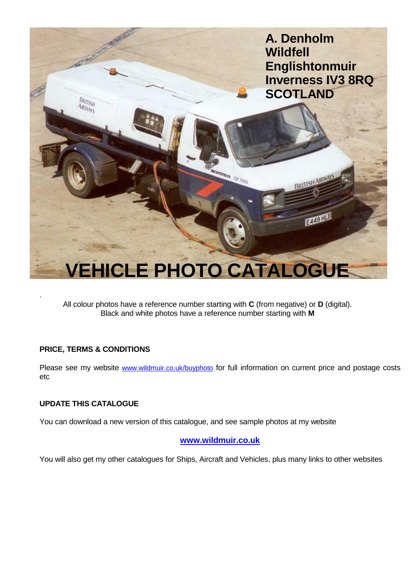

All colour photos have a reference number starting with **C** (from negative) or **D** (digital). Black and white photos have a reference number starting with **M**

## **PRICE, TERMS & CONDITIONS**

Please see my website [www.wildmuir.co.uk/buyphoto](http://www.wildmuir.co.uk/buyphoto) for full information on current price and postage costs etc

## **UPDATE THIS CATALOGUE**

You can download a new version of this catalogue, and see sample photos at my website

## **[www.wildmuir.co.uk](http://www.wildmuir.co.uk/)**

You will also get my other catalogues for Ships, Aircraft and Vehicles, plus many links to other websites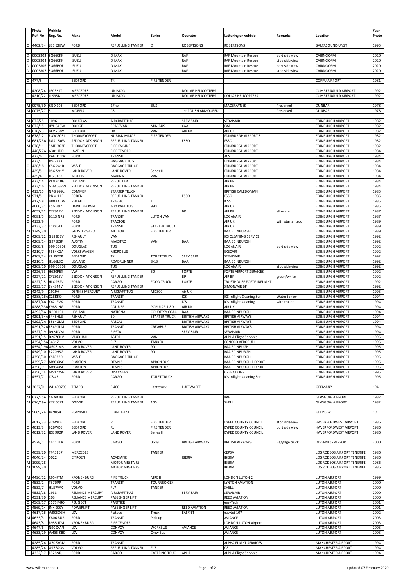|        | Photo                              | Vehicle                            |                                  |                                            |                                      |                                     |                                                              |                        |                                                      | Year         |
|--------|------------------------------------|------------------------------------|----------------------------------|--------------------------------------------|--------------------------------------|-------------------------------------|--------------------------------------------------------------|------------------------|------------------------------------------------------|--------------|
|        | Ref. No                            | Reg. No.                           | Make                             | Model                                      | Series                               | Operator                            | Lettering on vehicle                                         | Remarks                | Location                                             | Photo        |
|        | 4402/34                            | <b>LBS 528W</b>                    | FORD                             | REFUELLING TANKER                          | D                                    | <b>ROBERTSONS</b>                   | <b>ROBERTSONS</b>                                            |                        | <b>BALTASOUND UNST</b>                               | 1995         |
|        | 0003802                            | SG66CKK                            | <b>ISUZU</b>                     | D-MAX                                      |                                      | RAF                                 | RAF Mountain Rescue                                          | port side view         | CAIRNGORM                                            | 2020         |
|        | 0003804                            | SG66CKK                            | ISUZU                            | D-MAX                                      |                                      | RAF                                 | RAF Mountain Rescue                                          | stbd side view         | CAIRNGORM                                            | 2020         |
| D      | 0003806                            | SG66BOF                            | <b>ISUZU</b>                     | D-MAX                                      |                                      | RAF                                 | RAF Mountain Rescue                                          | port side view         | CAIRNGORM                                            | 2020         |
|        | 0003807                            | SG66BOF                            | ISUZU                            | D-MAX                                      |                                      | RAF                                 | RAF Mountain Rescue                                          | stbd side view         | CAIRNGORM                                            | 2020         |
|        | 477/5                              |                                    | <b>BEDFORD</b>                   | ТK                                         | <b>FIRE TENDER</b>                   |                                     |                                                              |                        | <b>CORFU AIRPORT</b>                                 | 1981         |
|        |                                    |                                    | <b>MERCEDES</b>                  | <b>UNIMOG</b>                              |                                      | <b>DOLLAR HELICOPTERS</b>           |                                                              |                        | <b>CUMBERNAULD AIRPORT</b>                           | 1992         |
|        | 4208/24<br>4210/22                 | LEC321T<br>LLS35N                  | <b>MERCEDES</b>                  | <b>UNIMOG</b>                              |                                      | <b>DOLLAR HELICOPTERS</b>           | <b>DOLLAR HELICOPTERS</b>                                    |                        | CUMBERNAULD AIRPORT                                  | 1992         |
|        |                                    |                                    |                                  |                                            |                                      |                                     |                                                              |                        |                                                      |              |
|        | 0075/30<br>0075/27                 | <b>KGD 903</b>                     | <b>BEDFORD</b><br><b>MORRIS</b>  | 27hp<br>C8                                 | <b>BUS</b>                           | 1st POLISH ARMOURED                 | MACBRAYNES                                                   | Preserved<br>Preserved | <b>DUNBAR</b><br><b>DUNBAR</b>                       | 1978<br>1978 |
|        |                                    |                                    |                                  |                                            |                                      |                                     |                                                              |                        |                                                      |              |
|        | M 672/25                           | 1096                               | <b>DOUGLAS</b>                   | AIRCRAFT TUG                               |                                      | SERVISAIR                           | <b>SERVISAIR</b>                                             |                        | <b>EDINBURGH AIRPORT</b>                             | 1982         |
|        | 672/15<br>678/23                   | <b>HYL 645W</b><br><b>BFV 238V</b> | <b>DODGE</b><br><b>BEDFORD</b>   | SPACEVAN<br>HA                             | <b>MINIBUS</b><br>VAN                | CAA<br>AIR UK                       | CAA<br>AIR UK                                                |                        | <b>EDINBURGH AIRPORT</b><br>EDINBURGH AIRPORT        | 1982<br>1982 |
| м      | 678/12                             | <b>EGW 203J</b>                    | THORNEYCROFT                     | <b>NUBIAN MAJOR</b>                        | <b>FIRE TENDER</b>                   |                                     | EDINBURGH AIRPORT 3                                          |                        | <b>EDINBURGH AIRPORT</b>                             | 1982         |
| М<br>м | 681/23A<br>678/11                  | <b>RGS 150W</b><br><b>SMD 363F</b> | SEDDON ATKINSON<br>THORNEYCROFT  | REFUELLING TANKER<br><b>FIRE ENGINE</b>    |                                      | ESSO                                | ESSO<br>EDINBURGH AIRPORT                                    |                        | <b>EDINBURGH AIRPORT</b><br>EDINBURGH AIRPORT        | 1982<br>1982 |
|        | 446/27A                            | A381 JDD                           | JAVELIN                          | <b>FIRE TENDER</b>                         |                                      |                                     | <b>EDINBURGH AIRPORT</b>                                     |                        | <b>EDINBURGH AIRPORT</b>                             | 1984         |
|        | 423/6                              | <b>RAH 311W</b>                    | FORD                             | TRANSIT                                    |                                      |                                     | ACS                                                          |                        | EDINBURGH AIRPORT                                    | 1984         |
|        | 423/7<br>426/18                    | <b>JYF 733K</b><br><b>XSG 241R</b> | <b>W &amp; E</b>                 | <b>BAGGAGE TUG</b><br><b>BAGGAGE TRUCK</b> |                                      |                                     | <b>EDINBURGH AIRPORT</b><br><b>EDINBURGH AIRPORT</b>         |                        | <b>EDINBURGH AIRPORT</b><br><b>EDINBURGH AIRPORT</b> | 1984<br>1984 |
|        | 425/5                              | <b>RSG 591Y</b>                    | <b>LAND ROVER</b>                | <b>LAND ROVER</b>                          | Series III                           |                                     | <b>EDINBURGH AIRPORT</b>                                     |                        | EDINBURGH AIRPORT                                    | 1984         |
|        | 425/4<br>423/14                    | <b>JFS 318X</b><br><b>VLN 410G</b> | <b>MORRIS</b><br>LEYLAND         | MARINA<br>REFUELLER                        | VAN                                  |                                     | <b>EDINBURGH AIRPORT</b><br>AIR BP                           |                        | <b>EDINBURGH AIRPORT</b><br>EDINBURGH AIRPORT        | 1984<br>1984 |
|        | 423/16                             | <b>GHV 537W</b>                    | <b>SEDDON ATKINSON</b>           | REFUELLING TANKER                          |                                      |                                     | AIR BP                                                       |                        | <b>EDINBURGH AIRPORT</b>                             | 1984         |
|        | 413/25                             | <b>NPG 999L</b>                    | COMMER                           | <b>STARTER TRUCK</b>                       |                                      |                                     | <b>BRITISH CALEDONIAN</b>                                    |                        | <b>EDINBURGH AIRPORT</b>                             | 1985         |
|        | 971/5<br>412/28                    | <b>PNM 11R</b><br><b>B883 XTW</b>  | FODEN<br>RENAULT                 | REFUELLING TANKER<br>TRAFFIC               |                                      | ESSO                                | ESSO<br>ICSS                                                 |                        | EDINBURGH AIRPORT<br><b>EDINBURGH AIRPORT</b>        | 1985<br>1985 |
|        | 4000/31                            | <b>KSG 392T</b>                    | <b>DAVID BROWN</b>               | AIRCRAFT TUG                               | 990                                  |                                     | AIR UK                                                       |                        | EDINBURGH AIRPORT                                    | 1985         |
|        | 4057/22                            | <b>CYL305V</b>                     | SEDDON ATKINSON                  | REFUELLING TANKER                          |                                      | BP                                  | AIR BP                                                       | all white              | <b>EDINBURGH AIRPORT</b>                             | 1987         |
|        | 4081/5<br>4132/9                   | <b>B113 NRS</b>                    | FORD<br>FORD                     | TRANSIT<br><b>TRACTOR</b>                  | <b>LUTON VAN</b>                     |                                     | LOGANAIR<br>AIR UK                                           | with starter truc      | <b>EDINBURGH AIRPORT</b><br><b>EDINBURGH AIRPORT</b> | 1987<br>1989 |
|        | 4133/32                            | <b>TCR861T</b>                     | FORD                             | TRANSIT                                    | <b>STARTER TRUCK</b>                 |                                     | AIR UK                                                       |                        | <b>EDINBURGH AIRPORT</b>                             | 1989         |
|        | 1349/30<br>4209/22                 | G183DEV                            | <b>GLOSTER SARO</b><br>RENAULT   | METEOR<br>VAN                              | <b>FIRE TENDER</b>                   |                                     | <b>BAA EDINBURGH</b><br>ICS CLEANING SERVICE                 |                        | EDINBURGH AIRPORT<br><b>EDINBURGH AIRPORT</b>        | 1989<br>1992 |
|        | 4209/14                            | G975ESF                            | <b>AUSTIN</b>                    | MAESTRO                                    | VAN                                  | BAA                                 | <b>BAA EDINBURGH</b>                                         |                        | <b>EDINBURGH AIRPORT</b>                             | 1992         |
|        | 4209/8                             | 999 00308                          | <b>DOUGLAS</b>                   | TUG                                        |                                      |                                     | LOGANAIR                                                     | port side view         | EDINBURGH AIRPORT                                    | 1992         |
|        | 4210/7<br>4209/24                  | <b>F684KGA</b><br>KLU922P          | VOLKSWAGEN<br><b>BEDFORD</b>     | <b>MICROBUS</b><br>ТK                      | <b>TOILET TRUCK</b>                  | SERVISAIR                           | <b>EXECAIR</b><br>SERVISAIR                                  |                        | <b>EDINBURGH AIRPORT</b><br>EDINBURGH AIRPORT        | 1992<br>1992 |
|        | 4210/1                             | <b>H166LSC</b>                     | LEYLAND                          | ROADRUNNER                                 | $8 - 13$                             | BAA                                 | <b>BAA EDINBURGH</b>                                         |                        | <b>EDINBURGH AIRPORT</b>                             | 1992         |
|        | 4209/10                            | 999 00308                          | <b>DOUGLAS</b>                   | TUG                                        |                                      |                                     | LOGANAIR                                                     | stbd side view         | <b>EDINBURGH AIRPORT</b>                             | 1992         |
|        | 4226/33<br>4227/21                 | H620REX<br>CYL305V                 | VW<br>SEDDON ATKINSON            | LT.<br>REFUELLING TANKER                   | 50                                   | <b>FORTE</b><br>BP                  | FORTE AIRPORT SERVICES<br>AIR BP                             | green/white            | <b>EDINBURGH AIRPORT</b><br><b>EDINBURGH AIRPORT</b> | 1992<br>1992 |
|        | 4227/15                            | <b>HLO932V</b>                     | FORD                             | CARGO                                      | <b>FOOD TRUCK</b>                    | <b>FORTE</b>                        | TRUSTHOUSE FORTE INFLIGHT                                    |                        | EDINBURGH AIRPORT                                    | 1992         |
|        | 4233/17<br>4242/9                  | <b>EYK344V</b><br>1919H            | SEDDON ATKINSON                  | REFUELLING TANKER<br>AIRCRAFT TUG          | MD300                                |                                     | SIMON/AIR BP                                                 |                        | <b>EDINBURGH AIRPORT</b>                             | 1992<br>1993 |
|        | 4288/16A C28DKO                    |                                    | <b>DENNIS MERCURY</b><br>FORD    | TRANSIT                                    |                                      | Air UK<br>ICS                       | <b>CS Inflight Cleaning Ser</b>                              | Water tanker           | <b>EDINBURGH AIRPORT</b><br>EDINBURGH AIRPORT        | 1994         |
|        | 4287/4A                            | K621FVX                            | FORD                             | TRANSIT                                    |                                      | ICS                                 | ICS Inflight Cleaning                                        | with trailer           | <b>EDINBURGH AIRPORT</b>                             | 1994         |
|        | 4288/33A K985LNG<br>4292/5A        | NPD119L                            | FORD<br>LEYLAND                  | COURIER<br>NATIONAL                        | POPULAR 1.8D<br>COURTESY COAC        | AIR UK<br>BAA                       | AIR UK<br><b>BAA EDINBURGH</b>                               |                        | EDINBURGH AIRPORT<br><b>EDINBURGH AIRPORT</b>        | 1994<br>1994 |
|        | 4291/34A E448HLB                   |                                    | RENAULT                          | 50                                         | <b>STARTER TRUCK</b>                 | <b>BRITISH AIRWAYS</b>              | <b>BRITISH AIRWAYS</b>                                       |                        | <b>EDINBURGH AIRPORT</b>                             | 1994         |
|        | 4292/2A                            | <b>E864GLM</b>                     | <b>BEDFORD</b>                   | RASCAL                                     |                                      | <b>BRITISH AIRWAYS</b>              | <b>BRITISH AIRWAYS</b>                                       |                        | EDINBURGH AIRPORT                                    | 1994         |
|        | 4291/32A E849GLM<br>4327/19        | D924JVM                            | FORD<br>FORD                     | TRANSIT<br>FIESTA                          | CREWBUS                              | <b>BRITISH AIRWAYS</b><br>SERVISAIR | <b>BRITISH AIRWAYS</b><br>SERVISAIR                          |                        | <b>EDINBURGH AIRPORT</b><br>EDINBURGH AIRPORT        | 1994<br>1994 |
|        | 4351/15                            | D267CNV                            | VAUXHALL                         | <b>ASTRA</b>                               | VAN                                  |                                     | <b>ALPHA Flight Services</b>                                 |                        | <b>EDINBURGH AIRPORT</b>                             | 1995         |
|        | 4354/15A 34317<br>4354/19A G608JMS |                                    | VOLVO<br><b>LAND ROVER</b>       | FL7<br><b>LAND ROVER</b>                   | <b>TANKER</b><br>90                  |                                     | CONOCO AEROFUEL<br><b>BAA EDINBUGH</b>                       |                        | <b>EDINBURGH AIRPORT</b><br><b>EDINBURGH AIRPORT</b> | 1995<br>1995 |
|        | 4349/10                            | E270HSG                            | <b>LAND ROVER</b>                | <b>LAND ROVER</b>                          | 90                                   |                                     | <b>BAA EDINBURGH</b>                                         |                        | <b>EDINBURGH AIRPORT</b>                             | 1995         |
|        | 4358/30                            | XSF832R                            | <b>W&amp;E</b>                   | <b>BAGGAGE TRUCK</b>                       |                                      |                                     | <b>BAA EDINBURGH</b>                                         |                        | <b>EDINBURGH AIRPORT</b>                             | 1995         |
|        | 4355/27<br>4358/9                  | <b>M883XSC</b><br><b>M884XSC</b>   | <b>PLAXTON</b><br><b>PLAXTON</b> | DENNIS<br>DENNIS                           | <b>APRON BUS</b><br><b>APRON BUS</b> |                                     | <b>BAA EDINBURGH AIRPORT</b><br><b>BAA EDINBURGH AIRPORT</b> |                        | <b>EDINBURGH AIRPORT</b><br><b>EDINBURGH AIRPORT</b> | 1995<br>1995 |
|        | 4356/14                            | M517XSN                            | <b>LAND ROVER</b>                | <b>DISCOVERY</b>                           |                                      |                                     | <b>OPERATIONS</b>                                            |                        | EDINBURGH AIRPORT                                    | 1995         |
|        | 4357/7                             | ICS 43                             | FORD                             | CARGO                                      | <b>TOILET TRUCK</b>                  |                                     | ICS Inflight Cleaning Ser                                    |                        | <b>EDINBURGH AIRPORT</b>                             | 1995         |
|        | M 3037/0                           | WL 490793                          | <b>TEMPO</b>                     | E 400                                      | light truck                          | LUFTWAFFE                           |                                                              |                        | <b>GERMANY</b>                                       | 194          |
|        |                                    |                                    |                                  | REFUELLING TANKER                          |                                      |                                     |                                                              |                        |                                                      |              |
|        | M 677/25A<br>M 676/19A             | 46 AD 49<br><b>XYK 502T</b>        | <b>BEDFORD</b><br><b>DODGE</b>   | REFUELLING TANKER                          | 100                                  |                                     | <b>RAF</b><br>SHELL                                          |                        | <b>GLASGOW AIRPORT</b><br><b>GLASGOW AIRPORT</b>     | 1982<br>1982 |
|        |                                    |                                    |                                  |                                            |                                      |                                     |                                                              |                        |                                                      |              |
|        | M 5089/24                          | JV 9054                            | SCAMMEL                          | <b>IRON HORSE</b>                          |                                      |                                     |                                                              |                        | <b>GRIMSBY</b>                                       | 19           |
|        | 4012/33                            | 926WDE                             | <b>BEDFORD</b>                   | RL                                         | <b>FIRE TENDER</b>                   |                                     | DYFED COUNTY COUNCIL                                         | stbd side view         | HAVERFORDWEST AIRPORT                                | 1986         |
|        | 4013/3                             | 926WDE                             | <b>BEDFORD</b>                   | <b>RL</b>                                  | <b>FIRE TENDER</b>                   |                                     | DYFED COUNTY COUNCIL                                         | port side view         | HAVERFORDWEST AIRPORT                                | 1986         |
|        | 4012/32                            | JDE 992P                           | <b>LAND ROVER</b>                | <b>LAND ROVER</b>                          | Series III                           |                                     | DYFED COUNTY COUNCIL                                         |                        | HAVERFORDWEST AIRPORT                                | 1986         |
|        | 4528/1                             | C411ULR                            | FORD                             | CARGO                                      | 0609                                 | <b>BRITISH AIRWAYS</b>              | <b>BRITISH AIRWAYS</b>                                       | Baggage truck          | <b>INVERNESS AIRPORT</b>                             | 2000         |
|        | 4039/20                            | TF45367                            | <b>MERCEDES</b>                  |                                            | <b>TANKER</b>                        |                                     | <b>CEPSA</b>                                                 |                        | LOS RODEOS AIRPORT TENERIFE                          | 1986         |
|        | 4040/24                            | 0022                               | <b>CITROEN</b>                   | <b>ACADIANE</b>                            |                                      | <b>IBERIA</b>                       | <b>IBERIA</b>                                                |                        | LOS RODEOS AIRPORT TENERIFE                          | 1986         |
| М      | 1099/28                            |                                    |                                  | <b>MOTOR AIRSTAIRS</b>                     |                                      |                                     | <b>IBERIA</b>                                                |                        | LOS RODEOS AIRPORT TENERIFE                          | 1986         |
|        | 1099/30                            |                                    |                                  | <b>MOTOR AIRSTAIRS</b>                     |                                      |                                     | <b>IBERIA</b>                                                |                        | LOS RODEOS AIRPORT TENERIFE                          | 1986         |
|        | 4496/12 R954JTM                    |                                    | <b>KRONENBURG</b>                | <b>FIRE TRUCK</b>                          | MRC II                               |                                     | LONDON LUTON 2                                               |                        | LUTON AIRPORT                                        | 1999         |
|        | 4532/2<br>4532/7                   | T57DPP<br>H157YYX                  | FORD<br>VOLVO                    | TRANSIT<br>FL7                             | <b>TOURNEO GLX</b><br>TANKER         |                                     | LYNTON AVIATION<br>SHELL                                     |                        | <b>LUTON AIRPORT</b><br>LUTON AIRPORT                | 2000<br>2000 |
|        | 4532/18                            | 1933                               | <b>RELIANCE MERCURY</b>          | AIRCRAFT TUG                               |                                      | SERVISAIR                           | SERVISAIR                                                    |                        | <b>LUTON AIRPORT</b>                                 | 2000         |
|        | 4531/30                            | 103                                | <b>RELIANCE MERCURY</b>          | PASSENGER LIFT                             |                                      |                                     | <b>REED AVIATION</b>                                         |                        | <b>LUTON AIRPORT</b>                                 | 2000         |
|        | 4569/17<br>4569/14                 | <b>S675 MJO</b><br><b>JNK 909Y</b> | PEUGEOT<br>POWERLIFT             | PARTNER<br>PASSENGER LIFT                  |                                      | <b>REED AVIATION</b>                | easyTech<br><b>REED AVIATION</b>                             |                        | <b>LUTON AIRPORT</b><br><b>LUTON AIRPORT</b>         | 2001<br>2001 |
|        | 4617/16                            | W905XGH                            | LDV                              | Flatbed                                    | Truck                                | EASYJET                             | easyJet 107                                                  |                        | LUTON AIRPORT                                        | 2002         |
|        | 4633/31                            | <b>K806 BUR</b>                    | FORD                             | TRANSIT                                    | Pick-up                              |                                     | AVIANCE                                                      |                        | <b>LUTON AIRPORT</b>                                 | 2003<br>2003 |
|        | 4643/8<br>4647/6                   | R955 JTM<br>N909XAN                | <b>KRONENBURG</b><br>LDV         | <b>FIRE TENDER</b><br>CONVOY               | <b>WORKBUS</b>                       | AVIANCE                             | LONDON LUTON Airport<br>AVIANCE                              |                        | <b>LUTON AIRPORT</b><br><b>LUTON AIRPORT</b>         | 2003         |
|        | 4633/29                            | <b>W485 KBD</b>                    | LDV                              | CONVOY                                     | Crew Bus                             |                                     | AVIANCE                                                      |                        | <b>LUTON AIRPORT</b>                                 | 2003         |
|        | 4285/26                            | G706XGM                            | FORD                             | TRANSIT                                    |                                      |                                     | ALPHA FLIGHT SERVICES                                        |                        | <b>MANCHESTER AIRPORT</b>                            | 1994         |
|        | 4285/24                            | G976AGS                            | VOLVO                            | REFUELLING TANKER                          | FL7                                  |                                     | Q8                                                           |                        | <b>MANCHESTER AIRPORT</b>                            | 1994         |
|        | 4332/17 F828NRJ                    |                                    | FORD                             | CARGO                                      | CATERING TRUC                        | APHA                                | <b>ALPHA Flight Services</b>                                 |                        | <b>MANCHESTER AIRPORT</b>                            | 1994         |